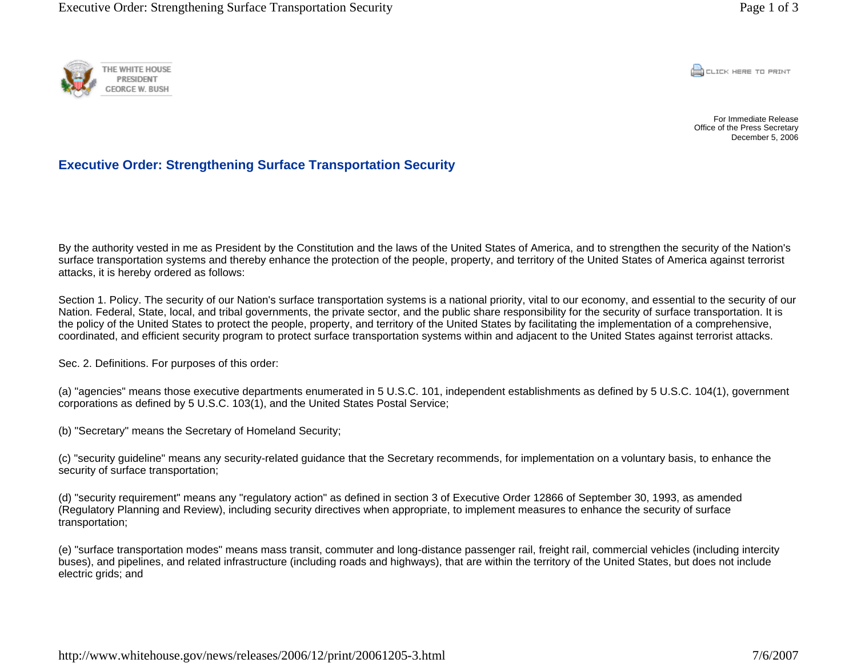

**CONCRETE PRINT** 

For Immediate Release Office of the Press Secretary December 5, 2006

## **Executive Order: Strengthening Surface Transportation Security**

By the authority vested in me as President by the Constitution and the laws of the United States of America, and to strengthen the security of the Nation's surface transportation systems and thereby enhance the protection of the people, property, and territory of the United States of America against terrorist attacks, it is hereby ordered as follows:

Section 1. Policy. The security of our Nation's surface transportation systems is a national priority, vital to our economy, and essential to the security of our Nation. Federal, State, local, and tribal governments, the private sector, and the public share responsibility for the security of surface transportation. It is the policy of the United States to protect the people, property, and territory of the United States by facilitating the implementation of a comprehensive, coordinated, and efficient security program to protect surface transportation systems within and adjacent to the United States against terrorist attacks.

Sec. 2. Definitions. For purposes of this order:

(a) "agencies" means those executive departments enumerated in 5 U.S.C. 101, independent establishments as defined by 5 U.S.C. 104(1), government corporations as defined by 5 U.S.C. 103(1), and the United States Postal Service;

(b) "Secretary" means the Secretary of Homeland Security;

(c) "security guideline" means any security-related guidance that the Secretary recommends, for implementation on a voluntary basis, to enhance the security of surface transportation;

(d) "security requirement" means any "regulatory action" as defined in section 3 of Executive Order 12866 of September 30, 1993, as amended (Regulatory Planning and Review), including security directives when appropriate, to implement measures to enhance the security of surface transportation;

(e) "surface transportation modes" means mass transit, commuter and long-distance passenger rail, freight rail, commercial vehicles (including intercity buses), and pipelines, and related infrastructure (including roads and highways), that are within the territory of the United States, but does not include electric grids; and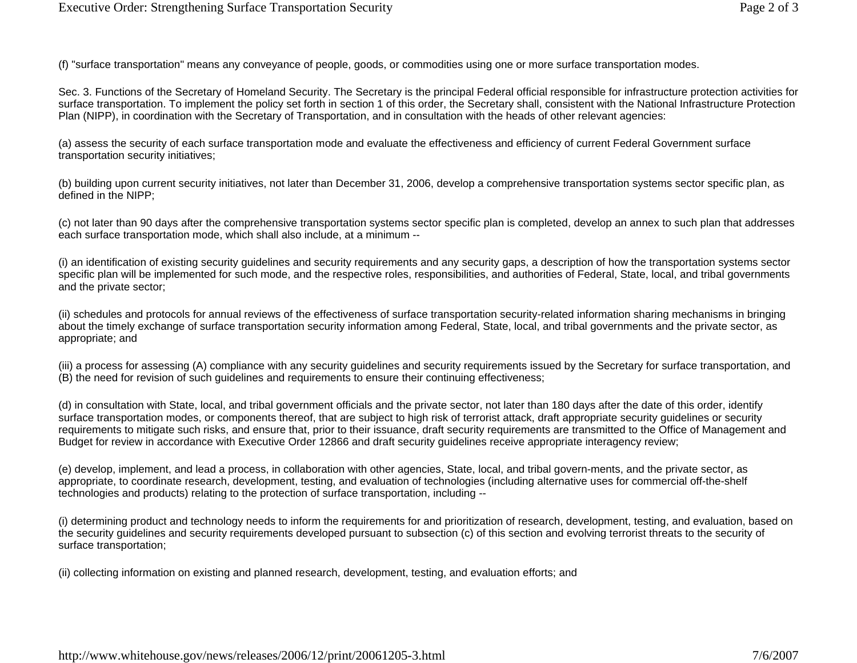(f) "surface transportation" means any conveyance of people, goods, or commodities using one or more surface transportation modes.

Sec. 3. Functions of the Secretary of Homeland Security. The Secretary is the principal Federal official responsible for infrastructure protection activities for surface transportation. To implement the policy set forth in section 1 of this order, the Secretary shall, consistent with the National Infrastructure Protection Plan (NIPP), in coordination with the Secretary of Transportation, and in consultation with the heads of other relevant agencies:

(a) assess the security of each surface transportation mode and evaluate the effectiveness and efficiency of current Federal Government surface transportation security initiatives;

(b) building upon current security initiatives, not later than December 31, 2006, develop a comprehensive transportation systems sector specific plan, as defined in the NIPP;

(c) not later than 90 days after the comprehensive transportation systems sector specific plan is completed, develop an annex to such plan that addresses each surface transportation mode, which shall also include, at a minimum --

(i) an identification of existing security guidelines and security requirements and any security gaps, a description of how the transportation systems sector specific plan will be implemented for such mode, and the respective roles, responsibilities, and authorities of Federal, State, local, and tribal governments and the private sector;

(ii) schedules and protocols for annual reviews of the effectiveness of surface transportation security-related information sharing mechanisms in bringing about the timely exchange of surface transportation security information among Federal, State, local, and tribal governments and the private sector, as appropriate; and

(iii) a process for assessing (A) compliance with any security guidelines and security requirements issued by the Secretary for surface transportation, and (B) the need for revision of such guidelines and requirements to ensure their continuing effectiveness;

(d) in consultation with State, local, and tribal government officials and the private sector, not later than 180 days after the date of this order, identify surface transportation modes, or components thereof, that are subject to high risk of terrorist attack, draft appropriate security guidelines or security requirements to mitigate such risks, and ensure that, prior to their issuance, draft security requirements are transmitted to the Office of Management and Budget for review in accordance with Executive Order 12866 and draft security guidelines receive appropriate interagency review;

(e) develop, implement, and lead a process, in collaboration with other agencies, State, local, and tribal govern-ments, and the private sector, as appropriate, to coordinate research, development, testing, and evaluation of technologies (including alternative uses for commercial off-the-shelf technologies and products) relating to the protection of surface transportation, including --

(i) determining product and technology needs to inform the requirements for and prioritization of research, development, testing, and evaluation, based on the security guidelines and security requirements developed pursuant to subsection (c) of this section and evolving terrorist threats to the security of surface transportation;

(ii) collecting information on existing and planned research, development, testing, and evaluation efforts; and